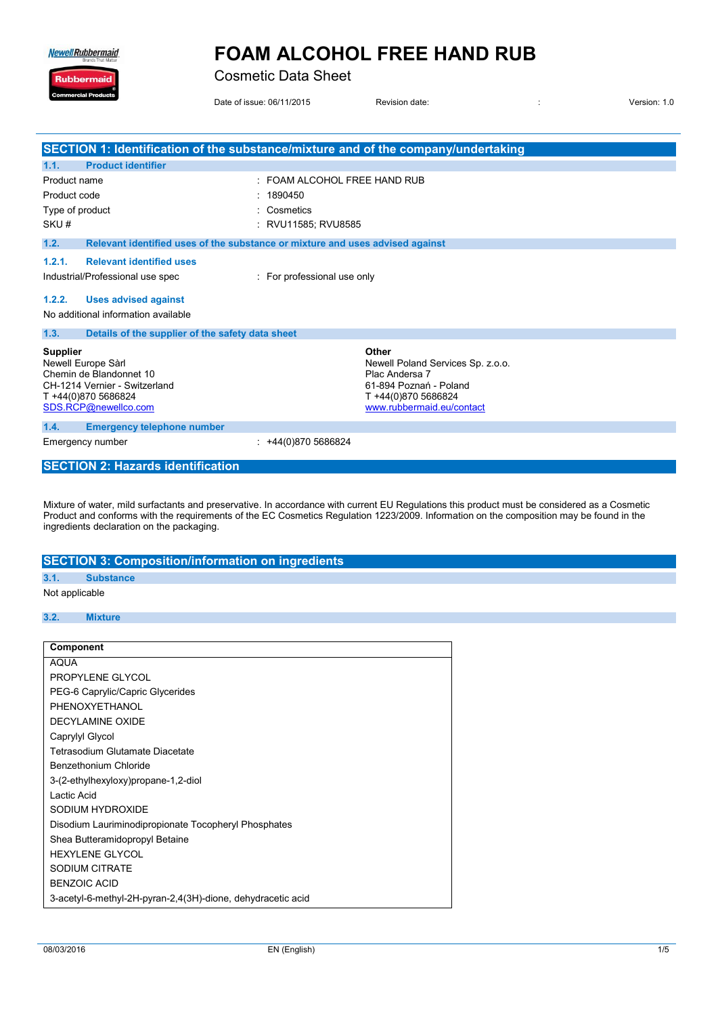**Newell Rubbermaid** 

Ruk

### **FOAM ALCOHOL FREE HAND RUB**

**Cosmetic Data Sheet** 

Date of issue: 06/11/2015

Revision date:

Version: 1.0

 $\ddot{\phantom{a}}$ 

|                                                                                                                                                  | SECTION 1: Identification of the substance/mixture and of the company/undertaking                                                          |  |
|--------------------------------------------------------------------------------------------------------------------------------------------------|--------------------------------------------------------------------------------------------------------------------------------------------|--|
| <b>Product identifier</b><br>1.1.                                                                                                                |                                                                                                                                            |  |
| Product name                                                                                                                                     | FOAM ALCOHOL FREE HAND RUB                                                                                                                 |  |
| Product code                                                                                                                                     | 1890450                                                                                                                                    |  |
| Type of product                                                                                                                                  | Cosmetics                                                                                                                                  |  |
| SKU#                                                                                                                                             | RVU11585; RVU8585                                                                                                                          |  |
| 1.2.<br>Relevant identified uses of the substance or mixture and uses advised against                                                            |                                                                                                                                            |  |
| <b>Relevant identified uses</b><br>1.2.1.                                                                                                        |                                                                                                                                            |  |
| Industrial/Professional use spec                                                                                                                 | : For professional use only                                                                                                                |  |
| 1.2.2.<br><b>Uses advised against</b>                                                                                                            |                                                                                                                                            |  |
| No additional information available                                                                                                              |                                                                                                                                            |  |
| 1.3.<br>Details of the supplier of the safety data sheet                                                                                         |                                                                                                                                            |  |
| <b>Supplier</b><br>Newell Europe Sàrl<br>Chemin de Blandonnet 10<br>CH-1214 Vernier - Switzerland<br>T +44(0)870 5686824<br>SDS.RCP@newellco.com | Other<br>Newell Poland Services Sp. z.o.o.<br>Plac Andersa 7<br>61-894 Poznań - Poland<br>T +44(0)870 5686824<br>www.rubbermaid.eu/contact |  |
| 1.4.<br><b>Emergency telephone number</b>                                                                                                        |                                                                                                                                            |  |
| Emergency number                                                                                                                                 | +44(0)870 5686824                                                                                                                          |  |
| <b>SECTION 2: Hazards identification</b>                                                                                                         |                                                                                                                                            |  |

Mixture of water, mild surfactants and preservative. In accordance with current EU Regulations this product must be considered as a Cosmetic Product and conforms with the requirements of the EC Cosmetics Regulation 1223/20

|      | <b>SECTION 3: Composition/information on ingredients</b> |
|------|----------------------------------------------------------|
| 3.1. | <b>Substance</b>                                         |

#### Not applicable

#### $3.2.$ **Mixture**

| Component                                                   |
|-------------------------------------------------------------|
| <b>AQUA</b>                                                 |
| PROPYLENE GLYCOL                                            |
| PEG-6 Caprylic/Capric Glycerides                            |
| PHENOXYETHANOL                                              |
| <b>DECYLAMINE OXIDE</b>                                     |
| Caprylyl Glycol                                             |
| Tetrasodium Glutamate Diacetate                             |
| Benzethonium Chloride                                       |
| 3-(2-ethylhexyloxy)propane-1,2-diol                         |
| Lactic Acid                                                 |
| SODIUM HYDROXIDE                                            |
| Disodium Lauriminodipropionate Tocopheryl Phosphates        |
| Shea Butteramidopropyl Betaine                              |
| <b>HEXYLENE GLYCOL</b>                                      |
| <b>SODIUM CITRATE</b>                                       |
| <b>BENZOIC ACID</b>                                         |
| 3-acetyl-6-methyl-2H-pyran-2,4(3H)-dione, dehydracetic acid |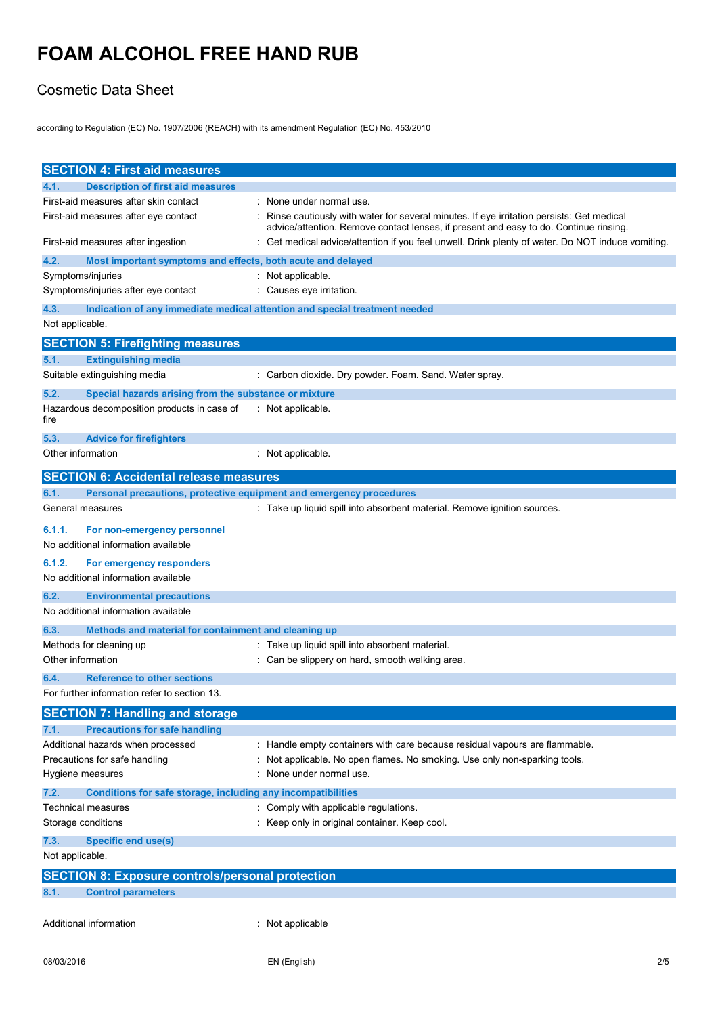#### Cosmetic Data Sheet

according to Regulation (EC) No. 1907/2006 (REACH) with its amendment Regulation (EC) No. 453/2010

| <b>SECTION 4: First aid measures</b>                                            |                                                                                                                                                                                   |
|---------------------------------------------------------------------------------|-----------------------------------------------------------------------------------------------------------------------------------------------------------------------------------|
| <b>Description of first aid measures</b><br>4.1.                                |                                                                                                                                                                                   |
| First-aid measures after skin contact                                           | None under normal use.                                                                                                                                                            |
| First-aid measures after eye contact                                            | Rinse cautiously with water for several minutes. If eye irritation persists: Get medical<br>advice/attention. Remove contact lenses, if present and easy to do. Continue rinsing. |
| First-aid measures after ingestion                                              | Get medical advice/attention if you feel unwell. Drink plenty of water. Do NOT induce vomiting.                                                                                   |
| 4.2.<br>Most important symptoms and effects, both acute and delayed             |                                                                                                                                                                                   |
| Symptoms/injuries                                                               | Not applicable.                                                                                                                                                                   |
| Symptoms/injuries after eye contact                                             | Causes eye irritation.                                                                                                                                                            |
| 4.3.                                                                            | Indication of any immediate medical attention and special treatment needed                                                                                                        |
| Not applicable.                                                                 |                                                                                                                                                                                   |
| <b>SECTION 5: Firefighting measures</b>                                         |                                                                                                                                                                                   |
| <b>Extinguishing media</b><br>5.1.                                              |                                                                                                                                                                                   |
| Suitable extinguishing media                                                    | : Carbon dioxide. Dry powder. Foam. Sand. Water spray.                                                                                                                            |
| 5.2.<br>Special hazards arising from the substance or mixture                   |                                                                                                                                                                                   |
| Hazardous decomposition products in case of<br>fire                             | Not applicable.                                                                                                                                                                   |
| 5.3.<br><b>Advice for firefighters</b>                                          |                                                                                                                                                                                   |
| Other information                                                               | Not applicable.                                                                                                                                                                   |
| <b>SECTION 6: Accidental release measures</b>                                   |                                                                                                                                                                                   |
| 6.1.<br>Personal precautions, protective equipment and emergency procedures     |                                                                                                                                                                                   |
| General measures                                                                | : Take up liquid spill into absorbent material. Remove ignition sources.                                                                                                          |
| 6.1.1.<br>For non-emergency personnel<br>No additional information available    |                                                                                                                                                                                   |
| 6.1.2.<br>For emergency responders                                              |                                                                                                                                                                                   |
| No additional information available                                             |                                                                                                                                                                                   |
| 6.2.<br><b>Environmental precautions</b><br>No additional information available |                                                                                                                                                                                   |
| 6.3.<br>Methods and material for containment and cleaning up                    |                                                                                                                                                                                   |
| Methods for cleaning up                                                         | : Take up liquid spill into absorbent material.                                                                                                                                   |
| Other information                                                               | Can be slippery on hard, smooth walking area.                                                                                                                                     |
| <b>Reference to other sections</b><br>6.4.                                      |                                                                                                                                                                                   |
| For further information refer to section 13.                                    |                                                                                                                                                                                   |
| <b>SECTION 7: Handling and storage</b>                                          |                                                                                                                                                                                   |
| <b>Precautions for safe handling</b><br>7.1.                                    |                                                                                                                                                                                   |
| Additional hazards when processed                                               | Handle empty containers with care because residual vapours are flammable.                                                                                                         |
| Precautions for safe handling                                                   | Not applicable. No open flames. No smoking. Use only non-sparking tools.                                                                                                          |
| Hygiene measures                                                                | None under normal use.                                                                                                                                                            |
| Conditions for safe storage, including any incompatibilities<br>7.2.            |                                                                                                                                                                                   |
| Technical measures                                                              | Comply with applicable regulations.                                                                                                                                               |
| Storage conditions                                                              | Keep only in original container. Keep cool.                                                                                                                                       |
| 7.3.<br><b>Specific end use(s)</b>                                              |                                                                                                                                                                                   |
| Not applicable.                                                                 |                                                                                                                                                                                   |
| <b>SECTION 8: Exposure controls/personal protection</b>                         |                                                                                                                                                                                   |
| 8.1.<br><b>Control parameters</b>                                               |                                                                                                                                                                                   |
| Additional information                                                          | Not applicable                                                                                                                                                                    |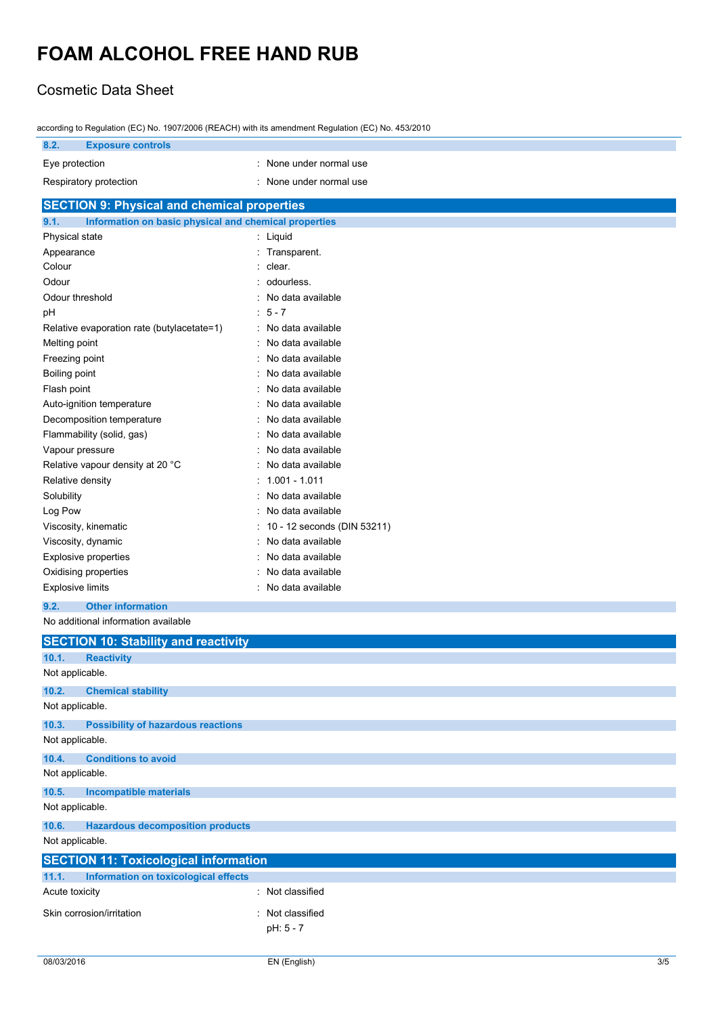#### Cosmetic Data Sheet

| according to Regulation (EC) No. 1907/2006 (REACH) with its amendment Regulation (EC) No. 453/2010 |                               |  |
|----------------------------------------------------------------------------------------------------|-------------------------------|--|
| 8.2.<br><b>Exposure controls</b>                                                                   |                               |  |
| Eye protection                                                                                     | : None under normal use       |  |
| Respiratory protection                                                                             | None under normal use         |  |
|                                                                                                    |                               |  |
| <b>SECTION 9: Physical and chemical properties</b>                                                 |                               |  |
| 9.1.<br>Information on basic physical and chemical properties                                      |                               |  |
| Physical state                                                                                     | : Liquid                      |  |
| Appearance<br>Colour                                                                               | : Transparent.<br>clear.      |  |
|                                                                                                    |                               |  |
| Odour                                                                                              | odourless.                    |  |
| Odour threshold                                                                                    | No data available             |  |
| pH                                                                                                 | $: 5 - 7$                     |  |
| Relative evaporation rate (butylacetate=1)                                                         | : No data available           |  |
| Melting point                                                                                      | No data available             |  |
| Freezing point                                                                                     | No data available             |  |
| Boiling point                                                                                      | No data available             |  |
| Flash point                                                                                        | No data available             |  |
| Auto-ignition temperature                                                                          | No data available             |  |
| Decomposition temperature                                                                          | No data available             |  |
| Flammability (solid, gas)                                                                          | No data available             |  |
| Vapour pressure                                                                                    | No data available             |  |
| Relative vapour density at 20 °C                                                                   | No data available             |  |
| Relative density                                                                                   | : 1.001 - 1.011               |  |
| Solubility                                                                                         | No data available             |  |
| Log Pow                                                                                            | No data available             |  |
| Viscosity, kinematic                                                                               | : 10 - 12 seconds (DIN 53211) |  |
| Viscosity, dynamic                                                                                 | No data available             |  |
| <b>Explosive properties</b>                                                                        | No data available             |  |
| Oxidising properties                                                                               | No data available             |  |
| <b>Explosive limits</b>                                                                            | : No data available           |  |
| 9.2.<br><b>Other information</b>                                                                   |                               |  |
| No additional information available                                                                |                               |  |
| <b>SECTION 10: Stability and reactivity</b>                                                        |                               |  |
| 10.1.<br><b>Reactivity</b>                                                                         |                               |  |
| Not applicable.                                                                                    |                               |  |
| 10.2.<br><b>Chemical stability</b>                                                                 |                               |  |

according to Regulation (EC) No. 1907/2006 (REACH) with its amendment Regulation (EC) No. 453/2010

### **10.4. Conditions to avoid** Not applicable. **10.5. Incompatible materials** Not applicable. **10.6. Hazardous decomposition products** Not applicable. **SECTION 11: Toxicological information 11.1. Information on toxicological effects** Acute toxicity **in the case of the Case of the Case of the Case of the Case of the Case of the Case of the Case of the Case of the Case of the Case of the Case of the Case of the Case of the Case of the Case of the Case of** Skin corrosion/irritation **intervalse and the Contract Contract Contract Contract Contract Contract Contract Contract Contract Contract Contract Contract Contract Contract Contract Contract Contract Contract Contract Contr** pH: 5 - 7

Not applicable.

Not applicable.

**10.3. Possibility of hazardous reactions**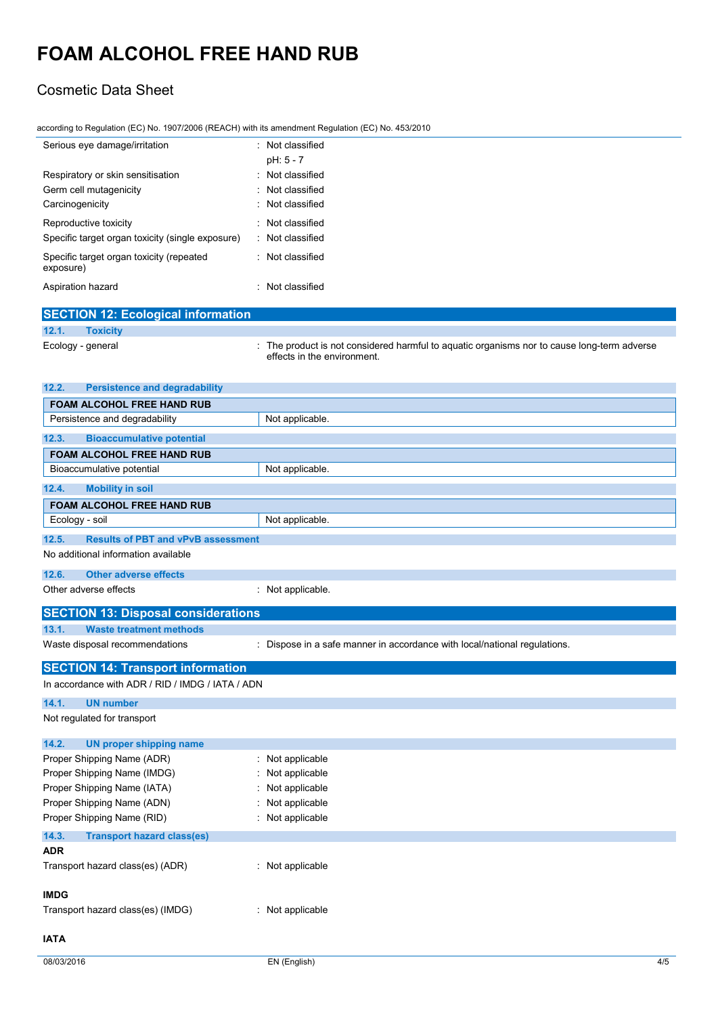### Cosmetic Data Sheet

|  | according to Regulation (EC) No. 1907/2006 (REACH) with its amendment Regulation (EC) No. 453/2010 |  |
|--|----------------------------------------------------------------------------------------------------|--|
|--|----------------------------------------------------------------------------------------------------|--|

| Serious eye damage/irritation                         | : Not classified |
|-------------------------------------------------------|------------------|
|                                                       | pH: 5 - 7        |
| Respiratory or skin sensitisation                     | · Not classified |
| Germ cell mutagenicity                                | · Not classified |
| Carcinogenicity                                       | : Not classified |
| Reproductive toxicity                                 | · Not classified |
| Specific target organ toxicity (single exposure)      | : Not classified |
| Specific target organ toxicity (repeated<br>exposure) | · Not classified |
| Aspiration hazard                                     | · Not classified |

|       | <b>SECTION 12: Ecological information</b> |                                                                                                                            |
|-------|-------------------------------------------|----------------------------------------------------------------------------------------------------------------------------|
| 12.1. | <b>Toxicity</b>                           |                                                                                                                            |
|       | Ecology - general                         | : The product is not considered harmful to aquatic organisms nor to cause long-term adverse<br>effects in the environment. |
| 12.2. | <b>Persistence and degradability</b>      |                                                                                                                            |

| FOAM ALCOHOL FREE HAND RUB                         |                                                                           |
|----------------------------------------------------|---------------------------------------------------------------------------|
| Persistence and degradability                      | Not applicable.                                                           |
| 12.3.<br><b>Bioaccumulative potential</b>          |                                                                           |
| <b>FOAM ALCOHOL FREE HAND RUB</b>                  |                                                                           |
| Bioaccumulative potential                          | Not applicable.                                                           |
| 12.4.<br><b>Mobility in soil</b>                   |                                                                           |
| <b>FOAM ALCOHOL FREE HAND RUB</b>                  |                                                                           |
| Ecology - soil                                     | Not applicable.                                                           |
| 12.5.<br><b>Results of PBT and vPvB assessment</b> |                                                                           |
| No additional information available                |                                                                           |
| 12.6.<br><b>Other adverse effects</b>              |                                                                           |
| Other adverse effects                              | : Not applicable.                                                         |
|                                                    |                                                                           |
| <b>SECTION 13: Disposal considerations</b>         |                                                                           |
| <b>Waste treatment methods</b><br>13.1.            |                                                                           |
| Waste disposal recommendations                     | : Dispose in a safe manner in accordance with local/national regulations. |
| <b>SECTION 14: Transport information</b>           |                                                                           |
| In accordance with ADR / RID / IMDG / IATA / ADN   |                                                                           |
| 14.1.<br><b>UN number</b>                          |                                                                           |
| Not regulated for transport                        |                                                                           |
| 14.2.<br><b>UN proper shipping name</b>            |                                                                           |
| Proper Shipping Name (ADR)                         | Not applicable                                                            |
| Proper Shipping Name (IMDG)                        | Not applicable                                                            |
| Proper Shipping Name (IATA)                        | Not applicable                                                            |
| Proper Shipping Name (ADN)                         | Not applicable                                                            |
| Proper Shipping Name (RID)                         | Not applicable                                                            |
| 14.3.<br><b>Transport hazard class(es)</b>         |                                                                           |
| <b>ADR</b>                                         |                                                                           |
| Transport hazard class(es) (ADR)                   | : Not applicable                                                          |
| <b>IMDG</b>                                        |                                                                           |
| Transport hazard class(es) (IMDG)                  | : Not applicable                                                          |
| <b>IATA</b>                                        |                                                                           |